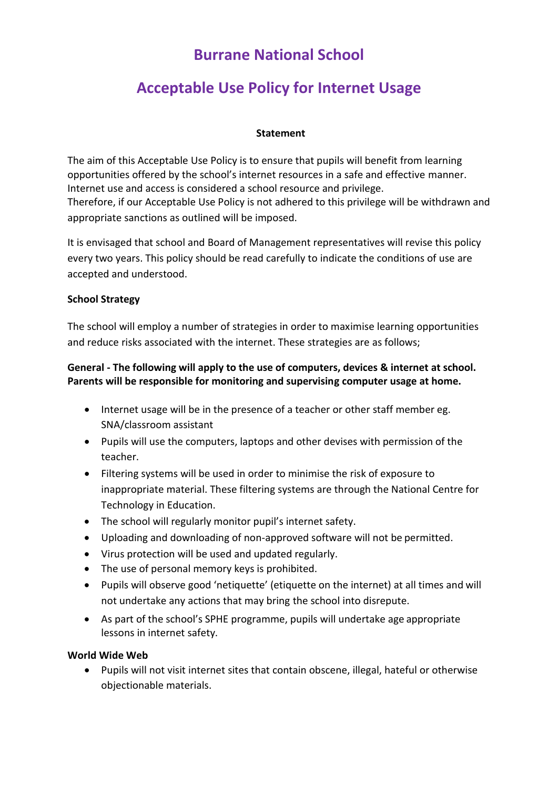## **Burrane National School**

# **Acceptable Use Policy for Internet Usage**

## **Statement**

The aim of this Acceptable Use Policy is to ensure that pupils will benefit from learning opportunities offered by the school's internet resources in a safe and effective manner. Internet use and access is considered a school resource and privilege. Therefore, if our Acceptable Use Policy is not adhered to this privilege will be withdrawn and appropriate sanctions as outlined will be imposed.

It is envisaged that school and Board of Management representatives will revise this policy every two years. This policy should be read carefully to indicate the conditions of use are accepted and understood.

## **School Strategy**

The school will employ a number of strategies in order to maximise learning opportunities and reduce risks associated with the internet. These strategies are as follows;

## **General - The following will apply to the use of computers, devices & internet at school. Parents will be responsible for monitoring and supervising computer usage at home.**

- Internet usage will be in the presence of a teacher or other staff member eg. SNA/classroom assistant
- Pupils will use the computers, laptops and other devises with permission of the teacher.
- Filtering systems will be used in order to minimise the risk of exposure to inappropriate material. These filtering systems are through the National Centre for Technology in Education.
- The school will regularly monitor pupil's internet safety.
- Uploading and downloading of non-approved software will not be permitted.
- Virus protection will be used and updated regularly.
- The use of personal memory keys is prohibited.
- Pupils will observe good 'netiquette' (etiquette on the internet) at all times and will not undertake any actions that may bring the school into disrepute.
- As part of the school's SPHE programme, pupils will undertake age appropriate lessons in internet safety.

### **World Wide Web**

 Pupils will not visit internet sites that contain obscene, illegal, hateful or otherwise objectionable materials.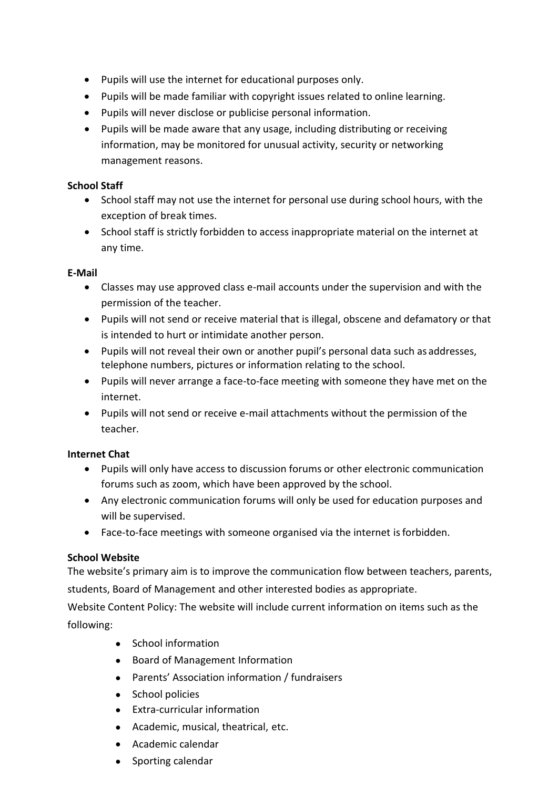- Pupils will use the internet for educational purposes only.
- Pupils will be made familiar with copyright issues related to online learning.
- Pupils will never disclose or publicise personal information.
- Pupils will be made aware that any usage, including distributing or receiving information, may be monitored for unusual activity, security or networking management reasons.

### **School Staff**

- School staff may not use the internet for personal use during school hours, with the exception of break times.
- School staff is strictly forbidden to access inappropriate material on the internet at any time.

## **E-Mail**

- Classes may use approved class e-mail accounts under the supervision and with the permission of the teacher.
- Pupils will not send or receive material that is illegal, obscene and defamatory or that is intended to hurt or intimidate another person.
- Pupils will not reveal their own or another pupil's personal data such as addresses, telephone numbers, pictures or information relating to the school.
- Pupils will never arrange a face-to-face meeting with someone they have met on the internet.
- Pupils will not send or receive e-mail attachments without the permission of the teacher.

## **Internet Chat**

- Pupils will only have access to discussion forums or other electronic communication forums such as zoom, which have been approved by the school.
- Any electronic communication forums will only be used for education purposes and will be supervised.
- Face-to-face meetings with someone organised via the internet isforbidden.

## **School Website**

The website's primary aim is to improve the communication flow between teachers, parents, students, Board of Management and other interested bodies as appropriate.

Website Content Policy: The website will include current information on items such as the following:

- School information
- Board of Management Information
- Parents' Association information / fundraisers
- School policies
- Extra-curricular information
- Academic, musical, theatrical, etc.
- Academic calendar
- Sporting calendar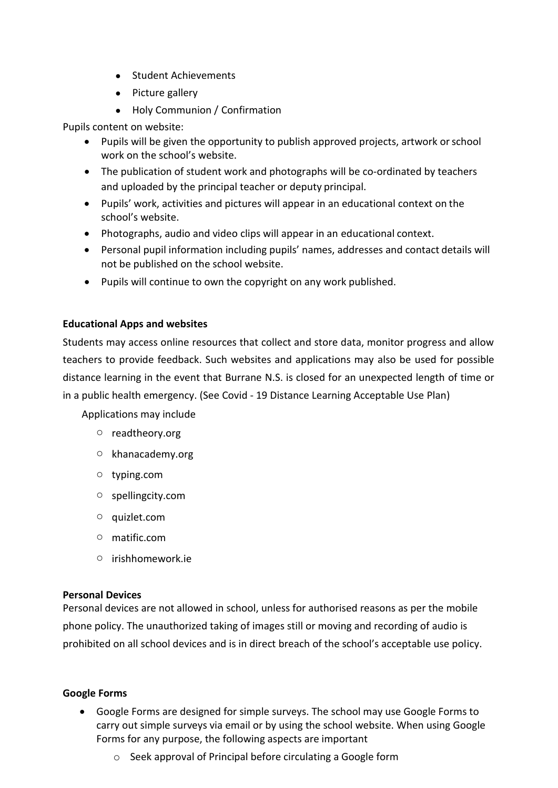- Student Achievements
- Picture gallery
- Holy Communion / Confirmation

Pupils content on website:

- Pupils will be given the opportunity to publish approved projects, artwork orschool work on the school's website.
- The publication of student work and photographs will be co-ordinated by teachers and uploaded by the principal teacher or deputy principal.
- Pupils' work, activities and pictures will appear in an educational context on the school's website.
- Photographs, audio and video clips will appear in an educational context.
- Personal pupil information including pupils' names, addresses and contact details will not be published on the school website.
- Pupils will continue to own the copyright on any work published.

## **Educational Apps and websites**

Students may access online resources that collect and store data, monitor progress and allow teachers to provide feedback. Such websites and applications may also be used for possible distance learning in the event that Burrane N.S. is closed for an unexpected length of time or in a public health emergency. (See Covid - 19 Distance Learning Acceptable Use Plan)

Applications may include

- o readtheory.org
- o khanacademy.org
- o typing.com
- o spellingcity.com
- o quizlet.com
- o matific.com
- o irishhomework.ie

### **Personal Devices**

Personal devices are not allowed in school, unless for authorised reasons as per the mobile phone policy. The unauthorized taking of images still or moving and recording of audio is prohibited on all school devices and is in direct breach of the school's acceptable use policy.

### **Google Forms**

- Google Forms are designed for simple surveys. The school may use Google Forms to carry out simple surveys via email or by using the school website. When using Google Forms for any purpose, the following aspects are important
	- o Seek approval of Principal before circulating a Google form